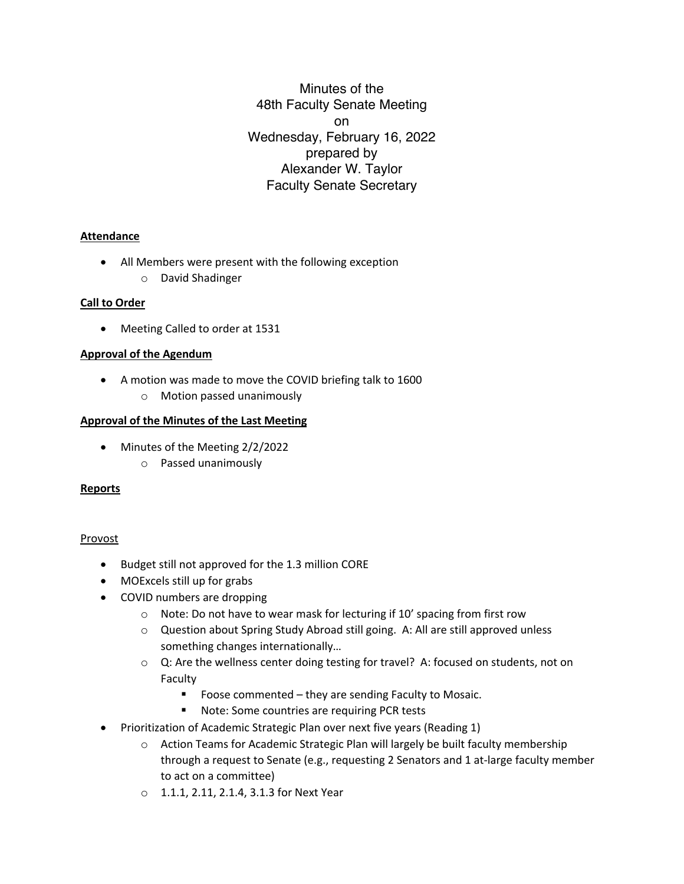Minutes of the 48th Faculty Senate Meeting on Wednesday, February 16, 2022 prepared by Alexander W. Taylor Faculty Senate Secretary

# **Attendance**

- All Members were present with the following exception
	- o David Shadinger

# **Call to Order**

• Meeting Called to order at 1531

# **Approval of the Agendum**

- A motion was made to move the COVID briefing talk to 1600
	- o Motion passed unanimously

# **Approval of the Minutes of the Last Meeting**

- Minutes of the Meeting 2/2/2022
	- o Passed unanimously

## **Reports**

## Provost

- Budget still not approved for the 1.3 million CORE
- MOExcels still up for grabs
- COVID numbers are dropping
	- o Note: Do not have to wear mask for lecturing if 10' spacing from first row
	- o Question about Spring Study Abroad still going. A: All are still approved unless something changes internationally…
	- o Q: Are the wellness center doing testing for travel? A: focused on students, not on Faculty
		- Foose commented they are sending Faculty to Mosaic.
		- Note: Some countries are requiring PCR tests
- Prioritization of Academic Strategic Plan over next five years (Reading 1)
	- $\circ$  Action Teams for Academic Strategic Plan will largely be built faculty membership through a request to Senate (e.g., requesting 2 Senators and 1 at-large faculty member to act on a committee)
	- o 1.1.1, 2.11, 2.1.4, 3.1.3 for Next Year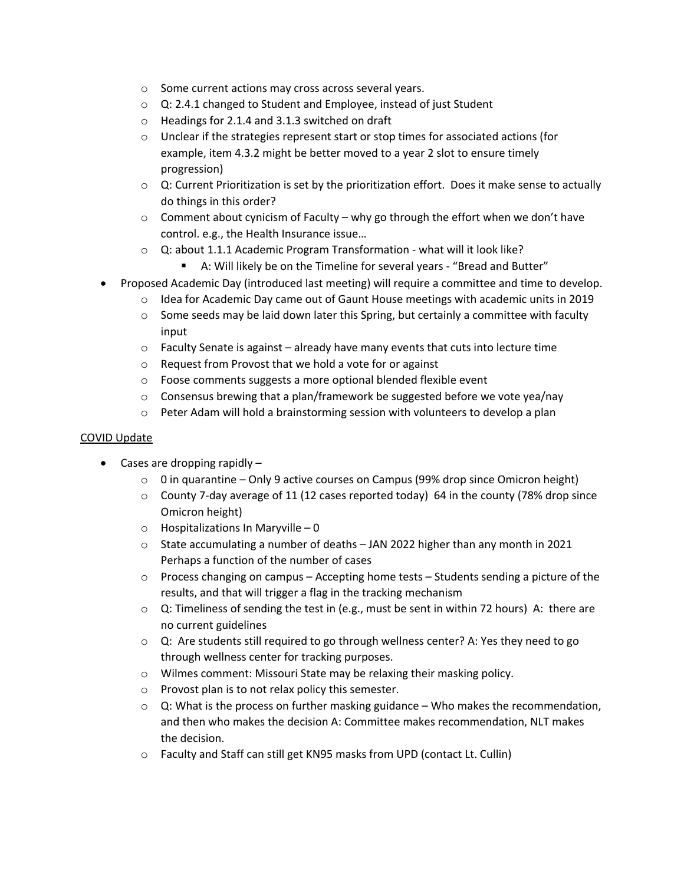- o Some current actions may cross across several years.
- o Q: 2.4.1 changed to Student and Employee, instead of just Student
- o Headings for 2.1.4 and 3.1.3 switched on draft
- $\circ$  Unclear if the strategies represent start or stop times for associated actions (for example, item 4.3.2 might be better moved to a year 2 slot to ensure timely progression)
- $\circ$  Q: Current Prioritization is set by the prioritization effort. Does it make sense to actually do things in this order?
- $\circ$  Comment about cynicism of Faculty why go through the effort when we don't have control. e.g., the Health Insurance issue…
- o Q: about 1.1.1 Academic Program Transformation what will it look like?
	- A: Will likely be on the Timeline for several years "Bread and Butter"
- Proposed Academic Day (introduced last meeting) will require a committee and time to develop.
	- $\circ$  Idea for Academic Day came out of Gaunt House meetings with academic units in 2019
	- $\circ$  Some seeds may be laid down later this Spring, but certainly a committee with faculty input
	- $\circ$  Faculty Senate is against already have many events that cuts into lecture time
	- o Request from Provost that we hold a vote for or against
	- o Foose comments suggests a more optional blended flexible event
	- o Consensus brewing that a plan/framework be suggested before we vote yea/nay
	- $\circ$  Peter Adam will hold a brainstorming session with volunteers to develop a plan

## COVID Update

- Cases are dropping rapidly
	- $\circ$  0 in quarantine Only 9 active courses on Campus (99% drop since Omicron height)
	- $\circ$  County 7-day average of 11 (12 cases reported today) 64 in the county (78% drop since Omicron height)
	- $\circ$  Hospitalizations In Maryville 0
	- $\circ$  State accumulating a number of deaths JAN 2022 higher than any month in 2021 Perhaps a function of the number of cases
	- $\circ$  Process changing on campus Accepting home tests Students sending a picture of the results, and that will trigger a flag in the tracking mechanism
	- $\circ$  Q: Timeliness of sending the test in (e.g., must be sent in within 72 hours) A: there are no current guidelines
	- $\circ$  Q: Are students still required to go through wellness center? A: Yes they need to go through wellness center for tracking purposes.
	- o Wilmes comment: Missouri State may be relaxing their masking policy.
	- o Provost plan is to not relax policy this semester.
	- $\circ$  Q: What is the process on further masking guidance Who makes the recommendation, and then who makes the decision A: Committee makes recommendation, NLT makes the decision.
	- o Faculty and Staff can still get KN95 masks from UPD (contact Lt. Cullin)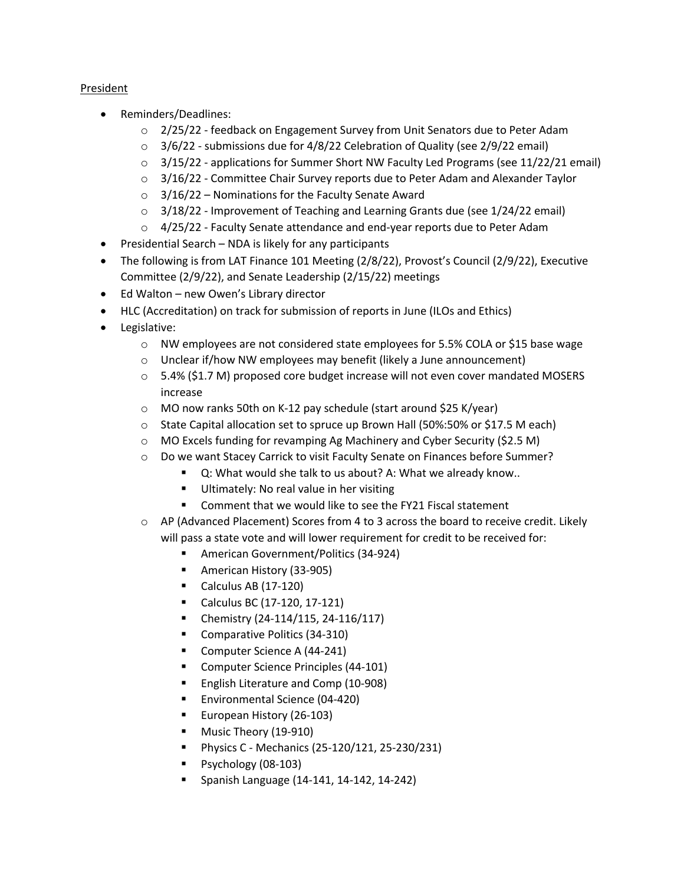# President

- Reminders/Deadlines:
	- $\circ$  2/25/22 feedback on Engagement Survey from Unit Senators due to Peter Adam
	- $\circ$  3/6/22 submissions due for 4/8/22 Celebration of Quality (see 2/9/22 email)
	- $\circ$  3/15/22 applications for Summer Short NW Faculty Led Programs (see 11/22/21 email)
	- $\circ$  3/16/22 Committee Chair Survey reports due to Peter Adam and Alexander Taylor
	- $\circ$  3/16/22 Nominations for the Faculty Senate Award
	- $\circ$  3/18/22 Improvement of Teaching and Learning Grants due (see 1/24/22 email)
	- o 4/25/22 Faculty Senate attendance and end-year reports due to Peter Adam
- Presidential Search NDA is likely for any participants
- The following is from LAT Finance 101 Meeting (2/8/22), Provost's Council (2/9/22), Executive Committee (2/9/22), and Senate Leadership (2/15/22) meetings
- Ed Walton new Owen's Library director
- HLC (Accreditation) on track for submission of reports in June (ILOs and Ethics)
- Legislative:
	- o NW employees are not considered state employees for 5.5% COLA or \$15 base wage
	- o Unclear if/how NW employees may benefit (likely a June announcement)
	- $\circ$  5.4% (\$1.7 M) proposed core budget increase will not even cover mandated MOSERS increase
	- o MO now ranks 50th on K-12 pay schedule (start around \$25 K/year)
	- o State Capital allocation set to spruce up Brown Hall (50%:50% or \$17.5 M each)
	- o MO Excels funding for revamping Ag Machinery and Cyber Security (\$2.5 M)
	- o Do we want Stacey Carrick to visit Faculty Senate on Finances before Summer?
		- Q: What would she talk to us about? A: What we already know..
			- Ultimately: No real value in her visiting
			- Comment that we would like to see the FY21 Fiscal statement
	- o AP (Advanced Placement) Scores from 4 to 3 across the board to receive credit. Likely will pass a state vote and will lower requirement for credit to be received for:
		- American Government/Politics (34-924)
		- American History (33-905)
		- Calculus AB  $(17-120)$
		- Calculus BC (17-120, 17-121)
		- Chemistry (24-114/115, 24-116/117)
		- Comparative Politics (34-310)
		- Computer Science A (44-241)
		- Computer Science Principles (44-101)
		- English Literature and Comp (10-908)
		- § Environmental Science (04-420)
		- European History (26-103)
		- Music Theory (19-910)
		- § Physics C Mechanics (25-120/121, 25-230/231)
		- § Psychology (08-103)
		- § Spanish Language (14-141, 14-142, 14-242)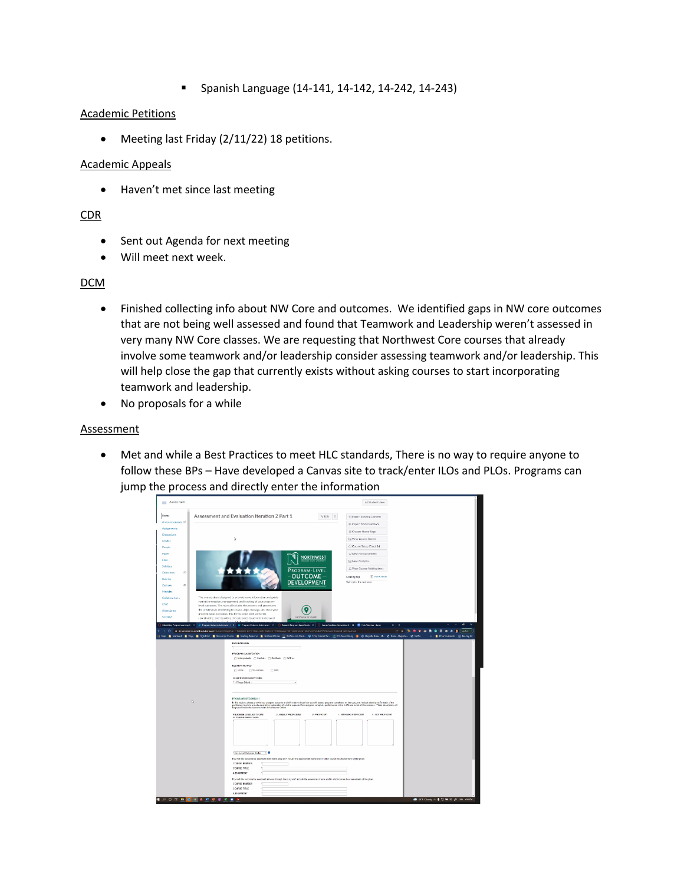§ Spanish Language (14-141, 14-142, 14-242, 14-243)

#### Academic Petitions

• Meeting last Friday (2/11/22) 18 petitions.

#### Academic Appeals

• Haven't met since last meeting

## CDR

- Sent out Agenda for next meeting
- Will meet next week.

## DCM

- Finished collecting info about NW Core and outcomes. We identified gaps in NW core outcomes that are not being well assessed and found that Teamwork and Leadership weren't assessed in very many NW Core classes. We are requesting that Northwest Core courses that already involve some teamwork and/or leadership consider assessing teamwork and/or leadership. This will help close the gap that currently exists without asking courses to start incorporating teamwork and leadership.
- No proposals for a while

#### **Assessment**

• Met and while a Best Practices to meet HLC standards, There is no way to require anyone to follow these BPs – Have developed a Canvas site to track/enter ILOs and PLOs. Programs can jump the process and directly enter the information

| $=$ Assessment                                   |                                                                                                                                                                                                                                                                                                                                                                                                     |                                                                                                                                                                                                                                                                             | 63 Student View                                                              |
|--------------------------------------------------|-----------------------------------------------------------------------------------------------------------------------------------------------------------------------------------------------------------------------------------------------------------------------------------------------------------------------------------------------------------------------------------------------------|-----------------------------------------------------------------------------------------------------------------------------------------------------------------------------------------------------------------------------------------------------------------------------|------------------------------------------------------------------------------|
| Home                                             | Assessment and Evaluation Iteration 2 Part 1                                                                                                                                                                                                                                                                                                                                                        | $\gamma_k$ Edit $\qquad$ :                                                                                                                                                                                                                                                  | <b>El Import Existing Content</b>                                            |
| Announcements 96<br>Assignments<br>Discussions   |                                                                                                                                                                                                                                                                                                                                                                                                     |                                                                                                                                                                                                                                                                             | Import from Commons<br>@ Choose Home Page                                    |
| Grades<br>People                                 | à                                                                                                                                                                                                                                                                                                                                                                                                   |                                                                                                                                                                                                                                                                             | Gi View Course Stream<br>C Course Setup Check Est                            |
| Pates<br>Files                                   |                                                                                                                                                                                                                                                                                                                                                                                                     | <b>NORTHWEST</b><br>125 New Analytics                                                                                                                                                                                                                                       | of New Announcement                                                          |
| <b>Syllabus</b><br>$^{o}$<br>Outcomes            |                                                                                                                                                                                                                                                                                                                                                                                                     | PROGRAM-LEVEL<br>$-$ OUTCOME $-$<br>Coming Up                                                                                                                                                                                                                               | C View Course Notifications<br>[1] Yes Crienda                               |
| <b>Fubrics</b><br>$\infty$<br>Quizzes<br>Modules |                                                                                                                                                                                                                                                                                                                                                                                                     | <b>DEVELOPMENT</b><br>Nothing for the next week                                                                                                                                                                                                                             |                                                                              |
| Collaborations<br>Chat                           | This course site is designed to provide more information and guide<br>you in the creation, management, and tracking of your program-                                                                                                                                                                                                                                                                |                                                                                                                                                                                                                                                                             |                                                                              |
| Attendance<br>SCORM                              | level outcomes. The manual includes the process and procedures<br>the university is employing to create, align, manage, and track your<br>program-level outcomes. The forms assist with gathering,<br>coordinating, and reporting the outcomes to administration and                                                                                                                                | DATE THE M THE COUNTY                                                                                                                                                                                                                                                       |                                                                              |
|                                                  | lies. Finally, the FACs will help<br>○ Submiting Program Learning C: X D Program Dubanes Submission K X 2D Program Dubanes Sension K X   ○ Roareh Proposit Specificator, X   ○ Council Notation Humanitics &: X   ■ Post-Michael Zonn<br>> C = @ dynamidorma.ngwebsdutions.com/Submit/Teqwittem=4ala833w4b341-Elab-ab35-0tiplip/1749388pugw=1873388to/swn-SEaFUni021Ub3M00bha3HDsZxC8-jb800pulateal | <b>CEA DE LIEDI</b>                                                                                                                                                                                                                                                         | 日立新<br>$-0.21$<br>C ipáziz                                                   |
|                                                  | Hope Elimbert Eliop Eliphine Elimoniptions Eliophiques Eliminations Eliminations Eliminations @ hisplanetic. (Eliminations & @ Mayakilonetic. @ line-Mayaky. @ bette<br>PROGRAM NAME                                                                                                                                                                                                                |                                                                                                                                                                                                                                                                             | Difference model [3] Seating Ist<br>ж.                                       |
|                                                  | PROGRAM CLASSIFCATION<br>□ Underpretiate ( Centurie ) Centicate ( NVCore                                                                                                                                                                                                                                                                                                                            |                                                                                                                                                                                                                                                                             |                                                                              |
|                                                  | DELIVERY METHOD<br>OWN Oh Campus<br>$\Box$ Both                                                                                                                                                                                                                                                                                                                                                     |                                                                                                                                                                                                                                                                             |                                                                              |
|                                                  | SELECT SCHOOLDEPT CODE<br>- Pease Salect -                                                                                                                                                                                                                                                                                                                                                          | u                                                                                                                                                                                                                                                                           |                                                                              |
| D                                                | <b>PROGRAM OUTCOMES #1</b>                                                                                                                                                                                                                                                                                                                                                                          |                                                                                                                                                                                                                                                                             |                                                                              |
|                                                  | be placed inside the outcome rubric in Northwest Cryline.<br>PROSRAM LEVEL OUTCOME<br>3 - HIGHLY PROFICIENT<br><b>Impage as all</b>                                                                                                                                                                                                                                                                 | In this section, please provide your program outcome and information about how you will assess program completes on this outcome. Include description for each of the<br>proficiency lovels to provide a narrative organization o<br>2. PROFICIENT<br>1. EMERGING PROFICENT | 0. NOT PROFICIENT                                                            |
|                                                  |                                                                                                                                                                                                                                                                                                                                                                                                     |                                                                                                                                                                                                                                                                             |                                                                              |
|                                                  |                                                                                                                                                                                                                                                                                                                                                                                                     |                                                                                                                                                                                                                                                                             |                                                                              |
|                                                  |                                                                                                                                                                                                                                                                                                                                                                                                     |                                                                                                                                                                                                                                                                             |                                                                              |
|                                                  | <b>COURSE MARER</b><br><b>COURSE TITLE</b><br><b>ASSIGNMENT</b>                                                                                                                                                                                                                                                                                                                                     | How will this outcome be assessed early in the program? Include the assessment name and in which course the assessment will be given.                                                                                                                                       |                                                                              |
|                                                  | <b>COURSE MIMBER</b>                                                                                                                                                                                                                                                                                                                                                                                | How will this outcome be assessed mid-cay through the program? Include the assessment name and in which course the assessment will be given                                                                                                                                 |                                                                              |
| $\Omega$<br>$\Omega$                             | <b>COURSE TITLE</b><br><b>ASSIGNMENT</b><br>٠                                                                                                                                                                                                                                                                                                                                                       |                                                                                                                                                                                                                                                                             | $\bigoplus$ 457 Cloudy $\wedge$ $\bigoplus$ 52 MB 00 $\bigoplus$ 1945 counts |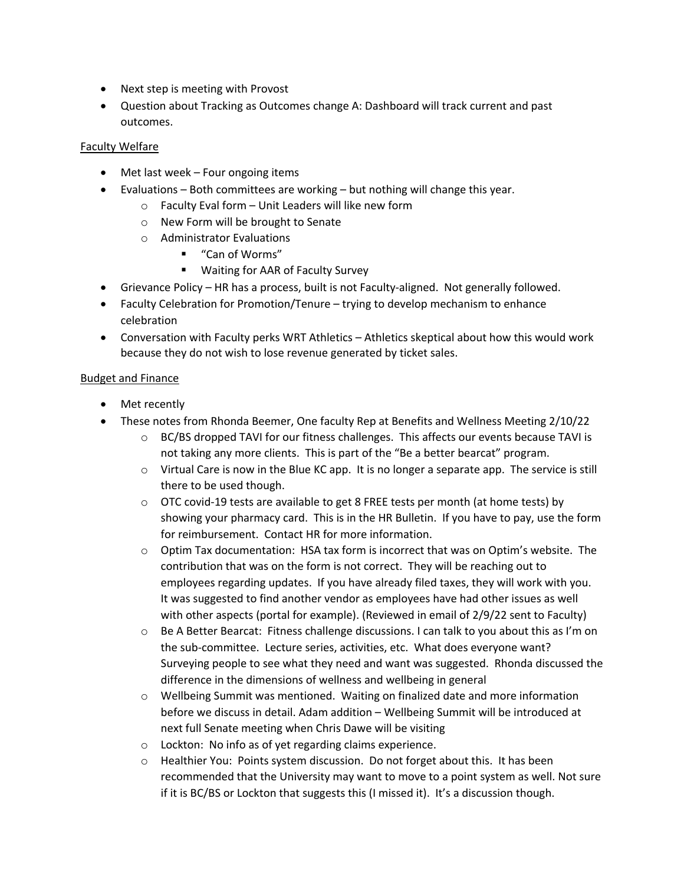- Next step is meeting with Provost
- Question about Tracking as Outcomes change A: Dashboard will track current and past outcomes.

# Faculty Welfare

- Met last week Four ongoing items
- Evaluations Both committees are working but nothing will change this year.
	- o Faculty Eval form Unit Leaders will like new form
	- o New Form will be brought to Senate
	- o Administrator Evaluations
		- "Can of Worms"
		- Waiting for AAR of Faculty Survey
- Grievance Policy HR has a process, built is not Faculty-aligned. Not generally followed.
- Faculty Celebration for Promotion/Tenure trying to develop mechanism to enhance celebration
- Conversation with Faculty perks WRT Athletics Athletics skeptical about how this would work because they do not wish to lose revenue generated by ticket sales.

#### Budget and Finance

- Met recently
- These notes from Rhonda Beemer, One faculty Rep at Benefits and Wellness Meeting 2/10/22
	- $\circ$  BC/BS dropped TAVI for our fitness challenges. This affects our events because TAVI is not taking any more clients. This is part of the "Be a better bearcat" program.
	- $\circ$  Virtual Care is now in the Blue KC app. It is no longer a separate app. The service is still there to be used though.
	- $\circ$  OTC covid-19 tests are available to get 8 FREE tests per month (at home tests) by showing your pharmacy card. This is in the HR Bulletin. If you have to pay, use the form for reimbursement. Contact HR for more information.
	- $\circ$  Optim Tax documentation: HSA tax form is incorrect that was on Optim's website. The contribution that was on the form is not correct. They will be reaching out to employees regarding updates. If you have already filed taxes, they will work with you. It was suggested to find another vendor as employees have had other issues as well with other aspects (portal for example). (Reviewed in email of 2/9/22 sent to Faculty)
	- o Be A Better Bearcat: Fitness challenge discussions. I can talk to you about this as I'm on the sub-committee. Lecture series, activities, etc. What does everyone want? Surveying people to see what they need and want was suggested. Rhonda discussed the difference in the dimensions of wellness and wellbeing in general
	- $\circ$  Wellbeing Summit was mentioned. Waiting on finalized date and more information before we discuss in detail. Adam addition – Wellbeing Summit will be introduced at next full Senate meeting when Chris Dawe will be visiting
	- o Lockton: No info as of yet regarding claims experience.
	- o Healthier You: Points system discussion. Do not forget about this. It has been recommended that the University may want to move to a point system as well. Not sure if it is BC/BS or Lockton that suggests this (I missed it). It's a discussion though.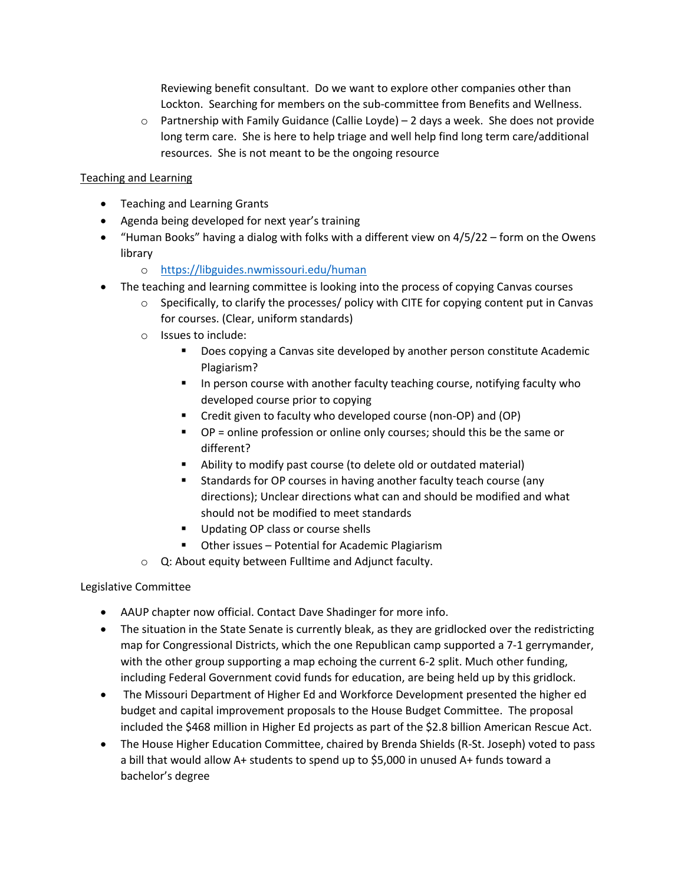Reviewing benefit consultant. Do we want to explore other companies other than Lockton. Searching for members on the sub-committee from Benefits and Wellness.

 $\circ$  Partnership with Family Guidance (Callie Loyde) – 2 days a week. She does not provide long term care. She is here to help triage and well help find long term care/additional resources. She is not meant to be the ongoing resource

# Teaching and Learning

- Teaching and Learning Grants
- Agenda being developed for next year's training
- "Human Books" having a dialog with folks with a different view on 4/5/22 form on the Owens library
	- o https://libguides.nwmissouri.edu/human
- The teaching and learning committee is looking into the process of copying Canvas courses
	- $\circ$  Specifically, to clarify the processes/ policy with CITE for copying content put in Canvas for courses. (Clear, uniform standards)
	- o Issues to include:
		- § Does copying a Canvas site developed by another person constitute Academic Plagiarism?
		- In person course with another faculty teaching course, notifying faculty who developed course prior to copying
		- § Credit given to faculty who developed course (non-OP) and (OP)
		- § OP = online profession or online only courses; should this be the same or different?
		- Ability to modify past course (to delete old or outdated material)
		- § Standards for OP courses in having another faculty teach course (any directions); Unclear directions what can and should be modified and what should not be modified to meet standards
		- Updating OP class or course shells
		- Other issues Potential for Academic Plagiarism
	- o Q: About equity between Fulltime and Adjunct faculty.

# Legislative Committee

- AAUP chapter now official. Contact Dave Shadinger for more info.
- The situation in the State Senate is currently bleak, as they are gridlocked over the redistricting map for Congressional Districts, which the one Republican camp supported a 7-1 gerrymander, with the other group supporting a map echoing the current 6-2 split. Much other funding, including Federal Government covid funds for education, are being held up by this gridlock.
- The Missouri Department of Higher Ed and Workforce Development presented the higher ed budget and capital improvement proposals to the House Budget Committee. The proposal included the \$468 million in Higher Ed projects as part of the \$2.8 billion American Rescue Act.
- The House Higher Education Committee, chaired by Brenda Shields (R-St. Joseph) voted to pass a bill that would allow A+ students to spend up to \$5,000 in unused A+ funds toward a bachelor's degree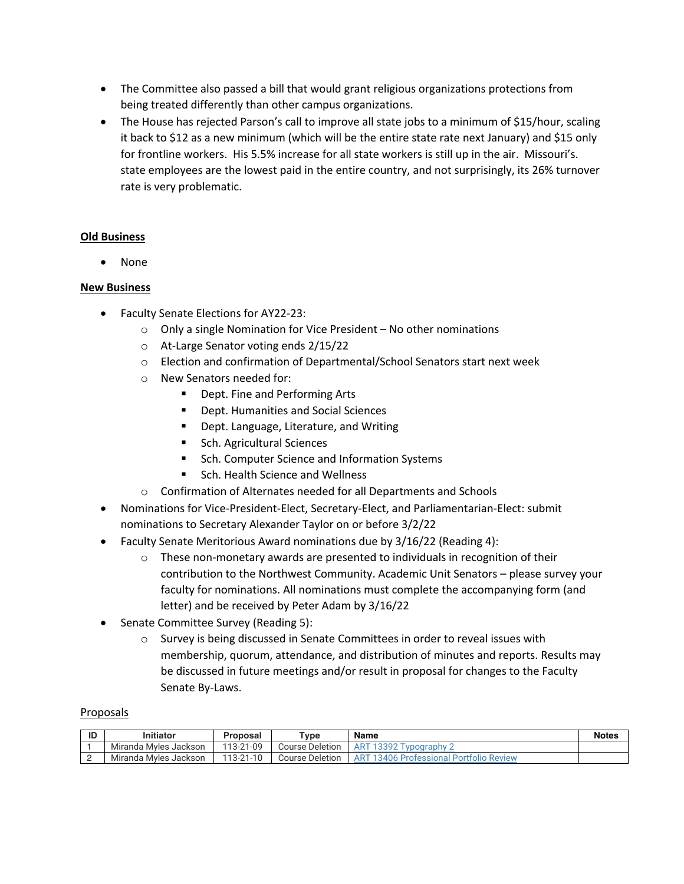- The Committee also passed a bill that would grant religious organizations protections from being treated differently than other campus organizations.
- The House has rejected Parson's call to improve all state jobs to a minimum of \$15/hour, scaling it back to \$12 as a new minimum (which will be the entire state rate next January) and \$15 only for frontline workers. His 5.5% increase for all state workers is still up in the air. Missouri's. state employees are the lowest paid in the entire country, and not surprisingly, its 26% turnover rate is very problematic.

# **Old Business**

• None

# **New Business**

- Faculty Senate Elections for AY22-23:
	- o Only a single Nomination for Vice President No other nominations
	- o At-Large Senator voting ends 2/15/22
	- o Election and confirmation of Departmental/School Senators start next week
	- o New Senators needed for:
		- Dept. Fine and Performing Arts
		- Dept. Humanities and Social Sciences
		- Dept. Language, Literature, and Writing
		- Sch. Agricultural Sciences
		- Sch. Computer Science and Information Systems
		- § Sch. Health Science and Wellness
	- o Confirmation of Alternates needed for all Departments and Schools
- Nominations for Vice-President-Elect, Secretary-Elect, and Parliamentarian-Elect: submit nominations to Secretary Alexander Taylor on or before 3/2/22
- Faculty Senate Meritorious Award nominations due by 3/16/22 (Reading 4):
	- $\circ$  These non-monetary awards are presented to individuals in recognition of their contribution to the Northwest Community. Academic Unit Senators – please survey your faculty for nominations. All nominations must complete the accompanying form (and letter) and be received by Peter Adam by 3/16/22
- Senate Committee Survey (Reading 5):
	- o Survey is being discussed in Senate Committees in order to reveal issues with membership, quorum, attendance, and distribution of minutes and reports. Results may be discussed in future meetings and/or result in proposal for changes to the Faculty Senate By-Laws.

## Proposals

| ID | mitiator              | Proposal  | $T$ vpe                   | Name                                                    | <b>Notes</b> |
|----|-----------------------|-----------|---------------------------|---------------------------------------------------------|--------------|
|    | Miranda Myles Jackson | 113-21-09 | <b>Course Deletion</b>    | AR <sup>T</sup><br>$13307 -$<br>'vpograp.<br><u>JJZ</u> |              |
| -  | Miranda Myles Jackson | 113-21-10 | <b>Deletion</b><br>Course | $AR^+$<br><b>I Portfolio Review</b><br>a Professionatii |              |